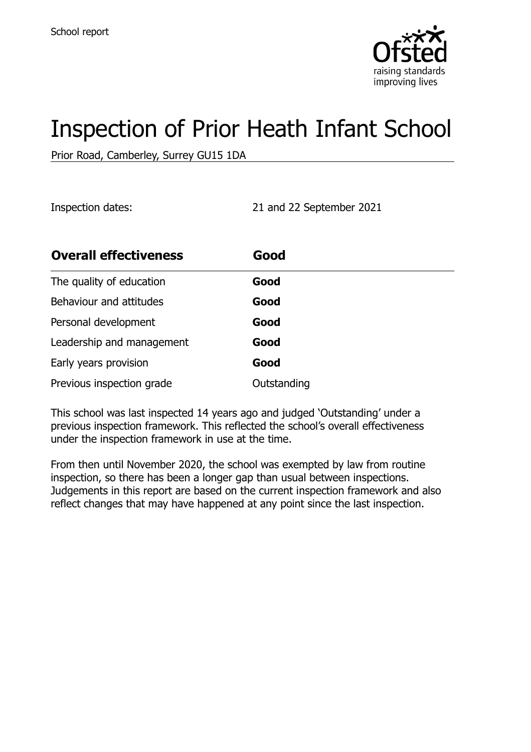

# Inspection of Prior Heath Infant School

Prior Road, Camberley, Surrey GU15 1DA

Inspection dates: 21 and 22 September 2021

| <b>Overall effectiveness</b> | Good        |
|------------------------------|-------------|
| The quality of education     | Good        |
| Behaviour and attitudes      | Good        |
| Personal development         | Good        |
| Leadership and management    | Good        |
| Early years provision        | Good        |
| Previous inspection grade    | Outstanding |

This school was last inspected 14 years ago and judged 'Outstanding' under a previous inspection framework. This reflected the school's overall effectiveness under the inspection framework in use at the time.

From then until November 2020, the school was exempted by law from routine inspection, so there has been a longer gap than usual between inspections. Judgements in this report are based on the current inspection framework and also reflect changes that may have happened at any point since the last inspection.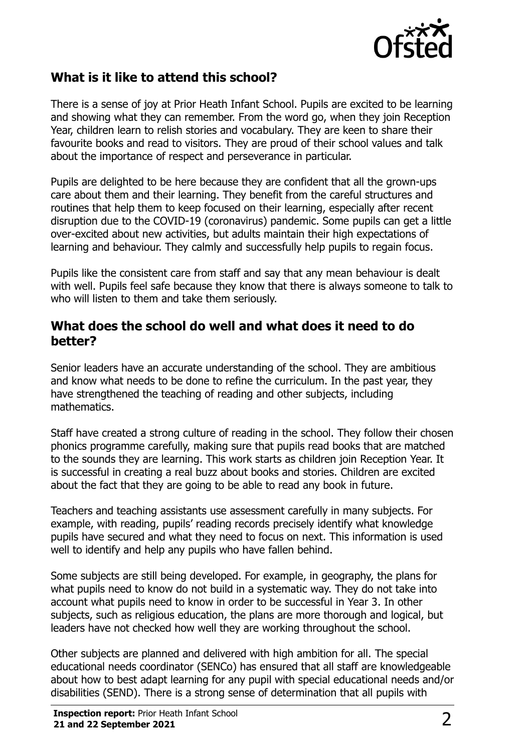

# **What is it like to attend this school?**

There is a sense of joy at Prior Heath Infant School. Pupils are excited to be learning and showing what they can remember. From the word go, when they join Reception Year, children learn to relish stories and vocabulary. They are keen to share their favourite books and read to visitors. They are proud of their school values and talk about the importance of respect and perseverance in particular.

Pupils are delighted to be here because they are confident that all the grown-ups care about them and their learning. They benefit from the careful structures and routines that help them to keep focused on their learning, especially after recent disruption due to the COVID-19 (coronavirus) pandemic. Some pupils can get a little over-excited about new activities, but adults maintain their high expectations of learning and behaviour. They calmly and successfully help pupils to regain focus.

Pupils like the consistent care from staff and say that any mean behaviour is dealt with well. Pupils feel safe because they know that there is always someone to talk to who will listen to them and take them seriously.

#### **What does the school do well and what does it need to do better?**

Senior leaders have an accurate understanding of the school. They are ambitious and know what needs to be done to refine the curriculum. In the past year, they have strengthened the teaching of reading and other subjects, including mathematics.

Staff have created a strong culture of reading in the school. They follow their chosen phonics programme carefully, making sure that pupils read books that are matched to the sounds they are learning. This work starts as children join Reception Year. It is successful in creating a real buzz about books and stories. Children are excited about the fact that they are going to be able to read any book in future.

Teachers and teaching assistants use assessment carefully in many subjects. For example, with reading, pupils' reading records precisely identify what knowledge pupils have secured and what they need to focus on next. This information is used well to identify and help any pupils who have fallen behind.

Some subjects are still being developed. For example, in geography, the plans for what pupils need to know do not build in a systematic way. They do not take into account what pupils need to know in order to be successful in Year 3. In other subjects, such as religious education, the plans are more thorough and logical, but leaders have not checked how well they are working throughout the school.

Other subjects are planned and delivered with high ambition for all. The special educational needs coordinator (SENCo) has ensured that all staff are knowledgeable about how to best adapt learning for any pupil with special educational needs and/or disabilities (SEND). There is a strong sense of determination that all pupils with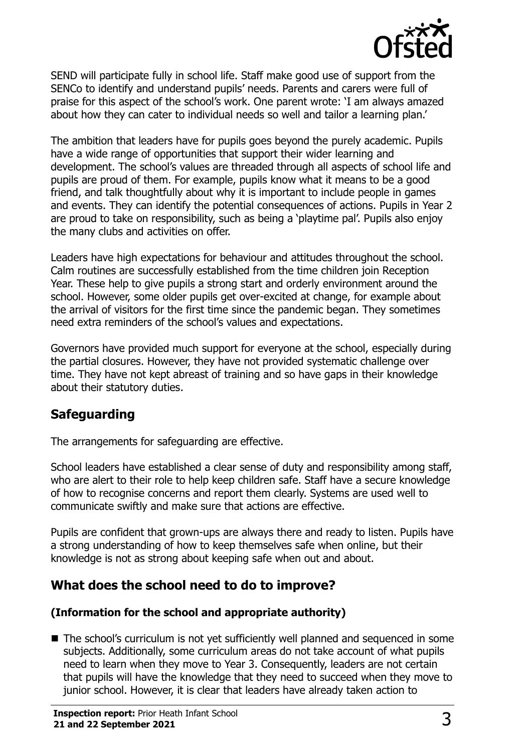

SEND will participate fully in school life. Staff make good use of support from the SENCo to identify and understand pupils' needs. Parents and carers were full of praise for this aspect of the school's work. One parent wrote: 'I am always amazed about how they can cater to individual needs so well and tailor a learning plan.'

The ambition that leaders have for pupils goes beyond the purely academic. Pupils have a wide range of opportunities that support their wider learning and development. The school's values are threaded through all aspects of school life and pupils are proud of them. For example, pupils know what it means to be a good friend, and talk thoughtfully about why it is important to include people in games and events. They can identify the potential consequences of actions. Pupils in Year 2 are proud to take on responsibility, such as being a 'playtime pal'. Pupils also enjoy the many clubs and activities on offer.

Leaders have high expectations for behaviour and attitudes throughout the school. Calm routines are successfully established from the time children join Reception Year. These help to give pupils a strong start and orderly environment around the school. However, some older pupils get over-excited at change, for example about the arrival of visitors for the first time since the pandemic began. They sometimes need extra reminders of the school's values and expectations.

Governors have provided much support for everyone at the school, especially during the partial closures. However, they have not provided systematic challenge over time. They have not kept abreast of training and so have gaps in their knowledge about their statutory duties.

# **Safeguarding**

The arrangements for safeguarding are effective.

School leaders have established a clear sense of duty and responsibility among staff, who are alert to their role to help keep children safe. Staff have a secure knowledge of how to recognise concerns and report them clearly. Systems are used well to communicate swiftly and make sure that actions are effective.

Pupils are confident that grown-ups are always there and ready to listen. Pupils have a strong understanding of how to keep themselves safe when online, but their knowledge is not as strong about keeping safe when out and about.

# **What does the school need to do to improve?**

#### **(Information for the school and appropriate authority)**

■ The school's curriculum is not yet sufficiently well planned and sequenced in some subjects. Additionally, some curriculum areas do not take account of what pupils need to learn when they move to Year 3. Consequently, leaders are not certain that pupils will have the knowledge that they need to succeed when they move to junior school. However, it is clear that leaders have already taken action to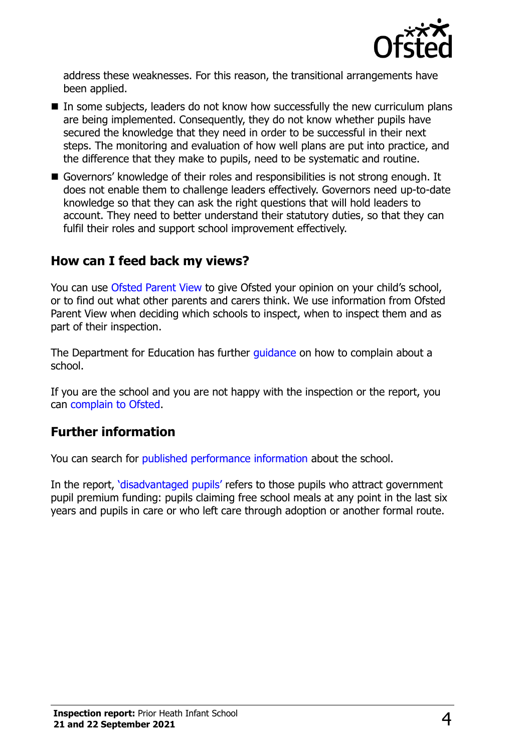

address these weaknesses. For this reason, the transitional arrangements have been applied.

- $\blacksquare$  In some subjects, leaders do not know how successfully the new curriculum plans are being implemented. Consequently, they do not know whether pupils have secured the knowledge that they need in order to be successful in their next steps. The monitoring and evaluation of how well plans are put into practice, and the difference that they make to pupils, need to be systematic and routine.
- Governors' knowledge of their roles and responsibilities is not strong enough. It does not enable them to challenge leaders effectively. Governors need up-to-date knowledge so that they can ask the right questions that will hold leaders to account. They need to better understand their statutory duties, so that they can fulfil their roles and support school improvement effectively.

## **How can I feed back my views?**

You can use [Ofsted Parent View](http://parentview.ofsted.gov.uk/) to give Ofsted your opinion on your child's school, or to find out what other parents and carers think. We use information from Ofsted Parent View when deciding which schools to inspect, when to inspect them and as part of their inspection.

The Department for Education has further quidance on how to complain about a school.

If you are the school and you are not happy with the inspection or the report, you can [complain to Ofsted.](http://www.gov.uk/complain-ofsted-report)

## **Further information**

You can search for [published performance information](http://www.compare-school-performance.service.gov.uk/) about the school.

In the report, '[disadvantaged pupils](http://www.gov.uk/guidance/pupil-premium-information-for-schools-and-alternative-provision-settings)' refers to those pupils who attract government pupil premium funding: pupils claiming free school meals at any point in the last six years and pupils in care or who left care through adoption or another formal route.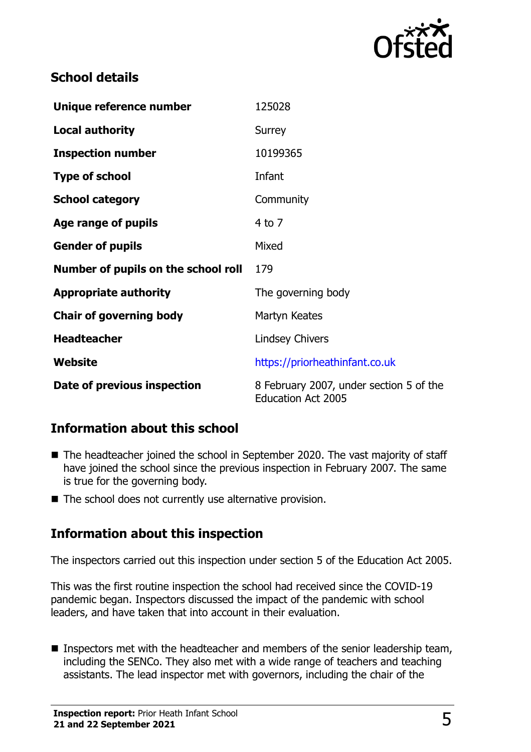

# **School details**

| Unique reference number             | 125028                                                               |
|-------------------------------------|----------------------------------------------------------------------|
| <b>Local authority</b>              | Surrey                                                               |
| <b>Inspection number</b>            | 10199365                                                             |
| <b>Type of school</b>               | Infant                                                               |
| <b>School category</b>              | Community                                                            |
| Age range of pupils                 | 4 to 7                                                               |
| <b>Gender of pupils</b>             | Mixed                                                                |
| Number of pupils on the school roll | 179                                                                  |
| <b>Appropriate authority</b>        | The governing body                                                   |
| <b>Chair of governing body</b>      | Martyn Keates                                                        |
| <b>Headteacher</b>                  | <b>Lindsey Chivers</b>                                               |
| Website                             | https://priorheathinfant.co.uk                                       |
| Date of previous inspection         | 8 February 2007, under section 5 of the<br><b>Education Act 2005</b> |

## **Information about this school**

- The headteacher joined the school in September 2020. The vast majority of staff have joined the school since the previous inspection in February 2007. The same is true for the governing body.
- $\blacksquare$  The school does not currently use alternative provision.

## **Information about this inspection**

The inspectors carried out this inspection under section 5 of the Education Act 2005.

This was the first routine inspection the school had received since the COVID-19 pandemic began. Inspectors discussed the impact of the pandemic with school leaders, and have taken that into account in their evaluation.

Inspectors met with the headteacher and members of the senior leadership team, including the SENCo. They also met with a wide range of teachers and teaching assistants. The lead inspector met with governors, including the chair of the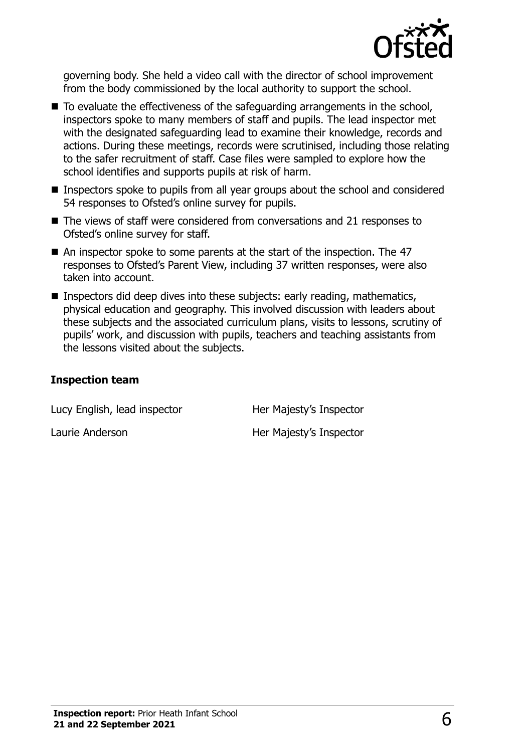

governing body. She held a video call with the director of school improvement from the body commissioned by the local authority to support the school.

- $\blacksquare$  To evaluate the effectiveness of the safeguarding arrangements in the school, inspectors spoke to many members of staff and pupils. The lead inspector met with the designated safeguarding lead to examine their knowledge, records and actions. During these meetings, records were scrutinised, including those relating to the safer recruitment of staff. Case files were sampled to explore how the school identifies and supports pupils at risk of harm.
- Inspectors spoke to pupils from all year groups about the school and considered 54 responses to Ofsted's online survey for pupils.
- The views of staff were considered from conversations and 21 responses to Ofsted's online survey for staff.
- An inspector spoke to some parents at the start of the inspection. The 47 responses to Ofsted's Parent View, including 37 written responses, were also taken into account.
- **Inspectors did deep dives into these subjects: early reading, mathematics,** physical education and geography. This involved discussion with leaders about these subjects and the associated curriculum plans, visits to lessons, scrutiny of pupils' work, and discussion with pupils, teachers and teaching assistants from the lessons visited about the subjects.

#### **Inspection team**

Lucy English, lead inspector **Her Majesty's Inspector** 

Laurie Anderson **Her Majesty's Inspector**